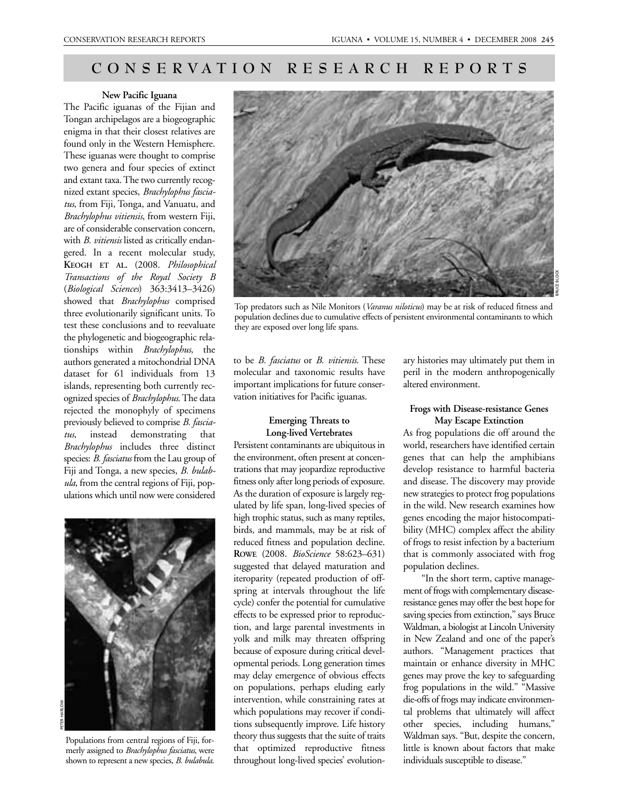# **CONSERVATION RESEARCH REPORTS**

#### **New Pacific Iguana**

The Pacific iguanas of the Fijian and Tongan archipelagos are a biogeographic enigma in that their closest relatives are found only in the Western Hemisphere. These iguanas were thought to comprise two genera and four species of extinct and extant taxa. The two currently recognized extant species, *Brachylophus fasciatus*, from Fiji, Tonga, and Vanuatu, and *Brachylophus vitiensis*, from western Fiji, are of considerable conservation concern, with *B. vitiensis* listed as critically endangered. In a recent molecular study, **KEOGH ET AL.** (2008. *Philosophical Transactions of the Royal Society B* (*Biological Sciences*) 363:3413–3426) showed that *Brachylophus* comprised three evolutionarily significant units. To test these conclusions and to reevaluate the phylogenetic and biogeographic relationships within *Brachylophus*, the authors generated a mitochondrial DNA dataset for 61 individuals from 13 islands, representing both currently recognized species of *Brachylophus*. The data rejected the monophyly of specimens previously believed to comprise *B. fasciatus*, instead demonstrating that *Brachylophus* includes three distinct species: *B. fasciatus* from the Lau group of Fiji and Tonga, a new species, *B. bulabula*, from the central regions of Fiji, populations which until now were considered



Populations from central regions of Fiji, formerly assigned to *Brachylophus fasciatus*, were shown to represent a new species, *B. bulabula*.



Top predators such as Nile Monitors (*Varanus niloticus*) may be at risk of reduced fitness and population declines due to cumulative effects of persistent environmental contaminants to which they are exposed over long life spans.

to be *B. fasciatus* or *B. vitiensis*. These molecular and taxonomic results have important implications for future conservation initiatives for Pacific iguanas.

## **Emerging Threats to Long-lived Vertebrates**

Persistent contaminants are ubiquitous in the environment, often present at concentrations that may jeopardize reproductive fitness only after long periods of exposure. As the duration of exposure is largely regulated by life span, long-lived species of high trophic status, such as many reptiles, birds, and mammals, may be at risk of reduced fitness and population decline. **ROWE** (2008. *BioScience* 58:623–631) suggested that delayed maturation and iteroparity (repeated production of offspring at intervals throughout the life cycle) confer the potential for cumulative effects to be expressed prior to reproduction, and large parental investments in yolk and milk may threaten offspring because of exposure during critical developmental periods. Long generation times may delay emergence of obvious effects on populations, perhaps eluding early intervention, while constraining rates at which populations may recover if conditions subsequently improve. Life history theory thus suggests that the suite of traits that optimized reproductive fitness throughout long-lived species' evolutionary histories may ultimately put them in peril in the modern anthropogenically altered environment.

### **Frogs with Disease-resistance Genes May Escape Extinction**

As frog populations die off around the world, researchers have identified certain genes that can help the amphibians develop resistance to harmful bacteria and disease. The discovery may provide new strategies to protect frog populations in the wild. New research examines how genes encoding the major histocompatibility (MHC) complex affect the ability of frogs to resist infection by a bacterium that is commonly associated with frog population declines.

"In the short term, captive management of frogs with complementary diseaseresistance genes may offer the best hope for saving species from extinction," says Bruce Waldman, a biologist at Lincoln University in New Zealand and one of the paper's authors. "Management practices that maintain or enhance diversity in MHC genes may prove the key to safeguarding frog populations in the wild." "Massive die-offs of frogs may indicate environmental problems that ultimately will affect other species, including humans," Waldman says. "But, despite the concern, little is known about factors that make individuals susceptible to disease."